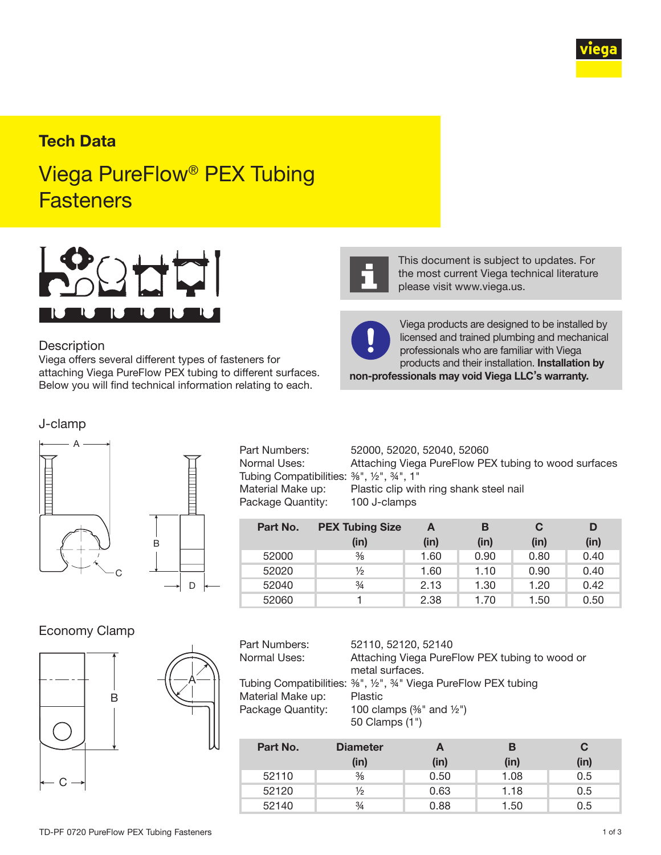

# **Tech Data**

# Viega PureFlow® PEX Tubing **Fasteners**



#### **Description**

Viega offers several different types of fasteners for attaching Viega PureFlow PEX tubing to different surfaces. Below you will find technical information relating to each.

#### J-clamp





Tubing Compatibilities:  $\frac{3}{8}$ ", 1/2", 34", 1" Package Quantity: 100 J-clamps

Part Numbers: 52000, 52020, 52040, 52060 Normal Uses: Attaching Viega PureFlow PEX tubing to wood surfaces Material Make up: Plastic clip with ring shank steel nail

| Part No. | <b>PEX Tubing Size</b> | А    | в    | C    |      |
|----------|------------------------|------|------|------|------|
|          | (in)                   | (in) | (in) | (in) | (in) |
| 52000    | $\frac{3}{8}$          | 1.60 | 0.90 | 0.80 | 0.40 |
| 52020    | $\frac{1}{2}$          | 1.60 | 1.10 | 0.90 | 0.40 |
| 52040    | $\frac{3}{4}$          | 2.13 | 1.30 | 1.20 | 0.42 |
| 52060    |                        | 2.38 | 1.70 | 1.50 | 0.50 |

#### Economy Clamp





| Part Numbers:     | 52110, 52120, 52140                                          |
|-------------------|--------------------------------------------------------------|
| Normal Uses:      | Attaching Viega PureFlow PEX tubing to wood or               |
|                   | metal surfaces.                                              |
|                   | Tubing Compatibilities: %", ½", %" Viega PureFlow PEX tubing |
| Material Make up: | <b>Plastic</b>                                               |
| Package Quantity: | 100 clamps $(\frac{3}{8}$ " and $\frac{1}{2}$ ")             |
|                   | 50 Clamps (1")                                               |

| Part No. | <b>Diameter</b> | A    | в    | C    |
|----------|-----------------|------|------|------|
|          | (in)            | (in) | (in) | (in) |
| 52110    | $\frac{3}{8}$   | 0.50 | 1.08 | 0.5  |
| 52120    | $\frac{1}{2}$   | 0.63 | 1.18 | 0.5  |
| 52140    | $\frac{3}{4}$   | 0.88 | 1.50 | 0.5  |



This document is subject to updates. For the most current Viega technical literature please visit www.viega.us.



Viega products are designed to be installed by licensed and trained plumbing and mechanical professionals who are familiar with Viega products and their installation. Installation by non-professionals may void Viega LLC's warranty.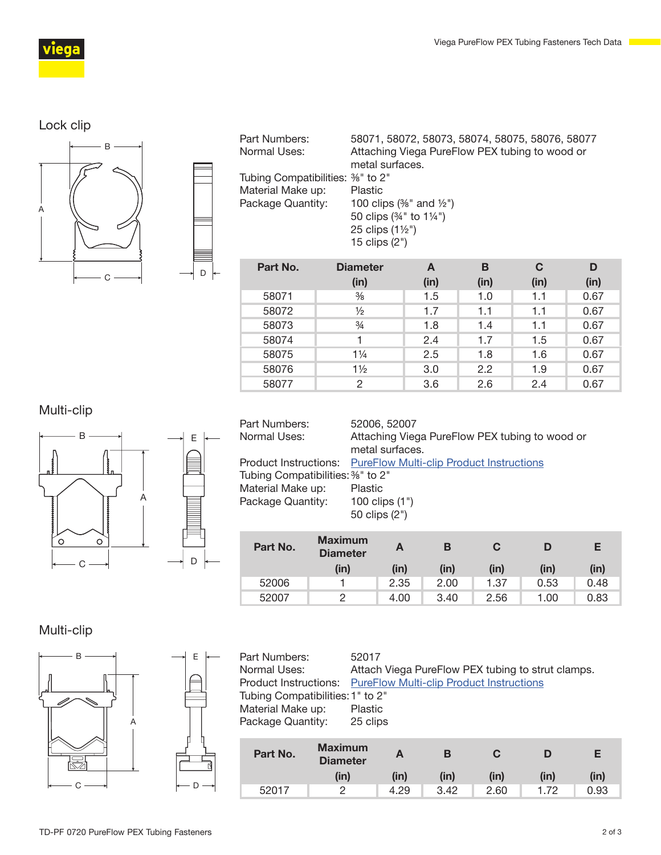

# Lock clip



| Part Numbers:<br>Normal Uses:     | 58071, 58072, 58073, 58074, 58075, 58076, 58077<br>Attaching Viega PureFlow PEX tubing to wood or |
|-----------------------------------|---------------------------------------------------------------------------------------------------|
|                                   | metal surfaces.                                                                                   |
| Tubing Compatibilities: 3%" to 2" |                                                                                                   |
| Material Make up:                 | Plastic                                                                                           |
| Package Quantity:                 | 100 clips $(\frac{3}{6}$ " and $\frac{1}{2}$ ")                                                   |
|                                   | 50 clips (34" to 11/4")                                                                           |
|                                   | 25 clips $(1\frac{1}{2})$                                                                         |
|                                   | 15 clips $(2")$                                                                                   |
|                                   |                                                                                                   |

| Part No. | <b>Diameter</b> | A    | в             | C    | D    |
|----------|-----------------|------|---------------|------|------|
|          | (in)            | (in) | (in)          | (in) | (in) |
| 58071    | $\frac{3}{8}$   | 1.5  | 1.0           | 1.1  | 0.67 |
| 58072    | $\frac{1}{2}$   | 1.7  | 1.1           | 1.1  | 0.67 |
| 58073    | $\frac{3}{4}$   | 1.8  | 1.4           | 1.1  | 0.67 |
| 58074    |                 | 2.4  | 1.7           | 1.5  | 0.67 |
| 58075    | $1\frac{1}{4}$  | 2.5  | 1.8           | 1.6  | 0.67 |
| 58076    | $1\frac{1}{2}$  | 3.0  | $2.2^{\circ}$ | 1.9  | 0.67 |
| 58077    | 2               | 3.6  | 2.6           | 2.4  | 0.67 |

# Multi-clip



| Part Numbers:                     | 52006, 52007                                                          |
|-----------------------------------|-----------------------------------------------------------------------|
| Normal Uses:                      | Attaching Viega PureFlow PEX tubing to wood or                        |
|                                   | metal surfaces.                                                       |
|                                   | <b>Product Instructions:</b> PureFlow Multi-clip Product Instructions |
| Tubing Compatibilities: 3%" to 2" |                                                                       |
| Material Make up:                 | Plastic                                                               |
| Package Quantity:                 | 100 clips $(1")$                                                      |
|                                   | 50 clips (2")                                                         |
|                                   |                                                                       |

| Part No. | <b>Maximum</b><br><b>Diameter</b><br>(in) | A<br>(in) | В<br>(in) | (in) | (in) | Е<br>(in) |
|----------|-------------------------------------------|-----------|-----------|------|------|-----------|
| 52006    |                                           | 2.35      | 2.00      | 1.37 | 0.53 | 0.48      |
| 52007    | っ                                         | 4.00      | 3.40      | 2.56 | 1.00 | 0.83      |

# Multi-clip



| Part Numbers:<br>Normal Uses:<br>Product Instructions: PureFlow Multi-clip Product Instructions | 52017    |  | Attach Viega PureFlow PEX tubing to strut clamps. |  |
|-------------------------------------------------------------------------------------------------|----------|--|---------------------------------------------------|--|
| Tubing Compatibilities: 1" to 2"<br>Material Make up:                                           | Plastic  |  |                                                   |  |
| Package Quantity:                                                                               | 25 clips |  |                                                   |  |
| <b>Maximum</b><br><b>Part No</b>                                                                |          |  |                                                   |  |

| Part No. | <b>Maximum</b><br><b>Diameter</b> |      | Е    | C    |      | Е    |
|----------|-----------------------------------|------|------|------|------|------|
|          | (in)                              | (in) | (in) | (in) | (in) | (in) |
| 52017    | ∩                                 | 4.29 | 3.42 | 2.60 | 1.72 | 0.93 |

E